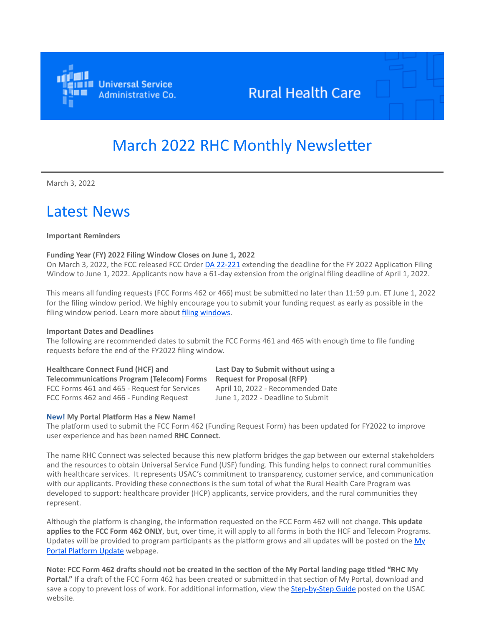

## **Rural Health Care**

# March 2022 RHC Monthly Newsletter

March 3, 2022

## Latest News

#### **Important Reminders**

#### **Funding Year (FY) 2022 Filing Window Closes on June 1, 2022**

On March 3, 2022, the FCC released FCC Order [DA 22-221](https://click.outreach.usac.org/?qs=ba1e9ad60e94324f4db7b44be90f6438b973e9320144e02f81ea0402ed4c30765fddb0e3f3e7b8aad2f000ad6e485e23eba5144428446159) extending the deadline for the FY 2022 Application Filing Window to June 1, 2022. Applicants now have a 61-day extension from the original filing deadline of April 1, 2022.

This means all funding requests (FCC Forms 462 or 466) must be submitted no later than 11:59 p.m. ET June 1, 2022 for the filing window period. We highly encourage you to submit your funding request as early as possible in the filing window period. Learn more about *filing windows*.

#### **Important Dates and Deadlines**

The following are recommended dates to submit the FCC Forms 461 and 465 with enough time to file funding requests before the end of the FY2022 filing window.

**Healthcare Connect Fund (HCF) and Telecommunications Program (Telecom) Forms** FCC Forms 461 and 465 - Request for Services April 10, 2022 - Recommended Date FCC Forms 462 and 466 - Funding Request June 1, 2022 - Deadline to Submit

**Last Day to Submit without using a Request for Proposal (RFP)**

#### **New! My Portal Platform Has a New Name!**

The platform used to submit the FCC Form 462 (Funding Request Form) has been updated for FY2022 to improve user experience and has been named **RHC Connect**.

The name RHC Connect was selected because this new platform bridges the gap between our external stakeholders and the resources to obtain Universal Service Fund (USF) funding. This funding helps to connect rural communities with healthcare services. It represents USAC's commitment to transparency, customer service, and communication with our applicants. Providing these connections is the sum total of what the Rural Health Care Program was developed to support: healthcare provider (HCP) applicants, service providers, and the rural communities they represent.

Although the platform is changing, the information requested on the FCC Form 462 will not change. **This update applies to the FCC Form 462 ONLY**, but, over time, it will apply to all forms in both the HCF and Telecom Programs. [Updates will be provided to program participants as the platform grows and all updates will be posted on the My](https://click.outreach.usac.org/?qs=ba1e9ad60e94324f83a7c004e88163c8ce0220ec284134c1b2e7dd02a0e674b7575f6c732eb25616326c9384cbfd74729b358692f18c7e78) Portal Platform Update webpage.

**Note: FCC Form 462 drafts should not be created in the section of the My Portal landing page titled "RHC My Portal."** If a draft of the FCC Form 462 has been created or submitted in that section of My Portal, download and save a copy to prevent loss of work. For additional information, view the [Step-by-Step Guide](https://click.outreach.usac.org/?qs=ba1e9ad60e94324fc7e491f1091f8ed391e73eddc7f8aad71080e6213caf65e3eb1fe3297b52136f164388027e066c66b8a01a38e03489bd) posted on the USAC website.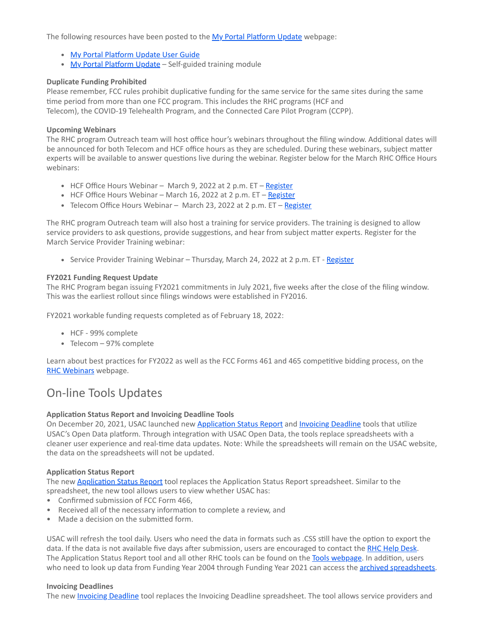The following resources have been posted to the [My Portal Platform Update](https://click.outreach.usac.org/?qs=ba1e9ad60e94324f83a7c004e88163c8ce0220ec284134c1b2e7dd02a0e674b7575f6c732eb25616326c9384cbfd74729b358692f18c7e78) webpage:

- [My Portal Platform Update User Guide](https://click.outreach.usac.org/?qs=ba1e9ad60e94324f12fa802261325bfe05c01f98db59299cef58c3bd6a6a5f8b3840d0e334cb92a4dae831497e020667fdffd8f68b522e9a)
- [My Portal Platform Update](https://click.outreach.usac.org/?qs=ba1e9ad60e94324f53b074678768fcf35beb2ed83f50a4a8b7059e50b2013af6e2696d0217586cdd474b8e314eb0dd31271f3d8b9d13a04e)  Self-guided training module

#### **Duplicate Funding Prohibited**

Please remember, FCC rules prohibit duplicative funding for the same service for the same sites during the same time period from more than one FCC program. This includes the RHC programs (HCF and Telecom), the COVID-19 Telehealth Program, and the Connected Care Pilot Program (CCPP).

#### **Upcoming Webinars**

The RHC program Outreach team will host office hour's webinars throughout the filing window. Additional dates will be announced for both Telecom and HCF office hours as they are scheduled. During these webinars, subject matter experts will be available to answer questions live during the webinar. Register below for the March RHC Office Hours webinars:

- HCF Office Hours Webinar March 9, 2022 at 2 p.m. ET [Register](https://click.outreach.usac.org/?qs=ba1e9ad60e94324f7c8e9f75be1c09bb5f1c4d747d53558908bb33faf084e198f6e119fad0a749bb0993c617aa94404ac87c06ff2a8dc98e)
- HCF Office Hours Webinar March 16, 2022 at 2 p.m. ET [Register](https://click.outreach.usac.org/?qs=ba1e9ad60e94324faf775ed28fa82fb3c9d9ceae5c5a8f879322ef4de0f10f96592e2e60d480b45ab5ebc4fa718e33b5745e29ad61b02b35)
- Telecom Office Hours Webinar March 23, 2022 at 2 p.m. ET [Register](https://click.outreach.usac.org/?qs=ba1e9ad60e94324fb35b4e38765cdfab3ce1e20dcab13b8fbdb18f6b754d49993d341f0bae420957b228ca06495421bfb727222464beea19)

The RHC program Outreach team will also host a training for service providers. The training is designed to allow service providers to ask questions, provide suggestions, and hear from subject matter experts. Register for the March Service Provider Training webinar:

• Service Provider Training Webinar – Thursday, March 24, 2022 at 2 p.m. ET - [Register](https://click.outreach.usac.org/?qs=ba1e9ad60e94324ff322f08974c1408453add8fe4131b918962ec588133e29a2a499190b29fbfd4051f27c0fc839b7e4c47c2f225e8d1906)

#### **FY2021 Funding Request Update**

The RHC Program began issuing FY2021 commitments in July 2021, five weeks after the close of the filing window. This was the earliest rollout since filings windows were established in FY2016.

FY2021 workable funding requests completed as of February 18, 2022:

- HCF 99% complete
- Telecom 97% complete

Learn about best practices for FY2022 as well as the FCC Forms 461 and 465 competitive bidding process, on the [RHC Webinars](https://click.outreach.usac.org/?qs=ba1e9ad60e94324fd11c94853fd99da92b39848ef9a61b364944cb2e7bbb5d70aa89035f87d34a84f1356dbaf1c640b86b386d2d942523c3) webpage.

### On-line Tools Updates

#### **Application Status Report and Invoicing Deadline Tools**

On December 20, 2021, USAC launched new [Application Status Report](https://click.outreach.usac.org/?qs=ba1e9ad60e94324f061b4a422cc51dd3729e31598418d44579e91ccf5e534c4973053cfc40168c26f541c54ab97df49ca4e80eb3c40637c8) and [Invoicing Deadline](https://click.outreach.usac.org/?qs=ba1e9ad60e94324f5c6b831c5e03c47f7f1ecf6249934a188388d6c5c1fd9c0e290f51483eafe59a873197bff47e0237ea69ba7ef3886625) tools that utilize USAC's Open Data platform. Through integration with USAC Open Data, the tools replace spreadsheets with a cleaner user experience and real-time data updates. Note: While the spreadsheets will remain on the USAC website, the data on the spreadsheets will not be updated.

#### **Application Status Report**

The new [Application Status Report](https://click.outreach.usac.org/?qs=ba1e9ad60e94324f061b4a422cc51dd3729e31598418d44579e91ccf5e534c4973053cfc40168c26f541c54ab97df49ca4e80eb3c40637c8) tool replaces the Application Status Report spreadsheet. Similar to the spreadsheet, the new tool allows users to view whether USAC has:

- Confirmed submission of FCC Form 466,
- Received all of the necessary information to complete a review, and
- Made a decision on the submitted form.

USAC will refresh the tool daily. Users who need the data in formats such as .CSS still have the option to export the data. If the data is not available five days after submission, users are encouraged to contact the [RHC Help Desk.](mailto:RHC-Assist@usac.org?subject=) The Application Status Report tool and all other RHC tools can be found on the [Tools webpage.](https://click.outreach.usac.org/?qs=ba1e9ad60e94324fbe525f85eedeb0182de17e55da5cd52f4745f1aa2907c249b2a7fb08d67ff02dfb408ac9d46bf4808bc760d65b8a58a7) In addition, users who need to look up data from Funding Year 2004 through Funding Year 2021 can access the **[archived spreadsheets](https://click.outreach.usac.org/?qs=ba1e9ad60e94324fcfb49e60a82ab2a4989d991ce2d1971af638e7ea12cc831b64303dc2c82fc04eaf2f8be63e50998fd64d52ecf86ff017).** 

#### **Invoicing Deadlines**

The new **Invoicing Deadline** tool replaces the [Invoicing Deadline](https://click.outreach.usac.org/?qs=ba1e9ad60e94324f5c6b831c5e03c47f7f1ecf6249934a188388d6c5c1fd9c0e290f51483eafe59a873197bff47e0237ea69ba7ef3886625) spreadsheet. The tool allows service providers and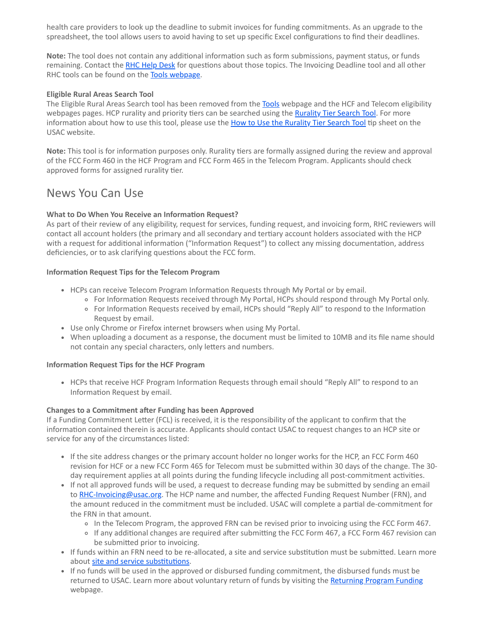health care providers to look up the deadline to submit invoices for funding commitments. As an upgrade to the spreadsheet, the tool allows users to avoid having to set up specific Excel configurations to find their deadlines.

**Note:** The tool does not contain any additional information such as form submissions, payment status, or funds remaining. Contact the [RHC Help Desk](mailto:RHC-Assist@usac.org?subject=) for questions about those topics. The Invoicing Deadline tool and all other RHC tools can be found on the [Tools webpage](https://click.outreach.usac.org/?qs=ba1e9ad60e94324fbe525f85eedeb0182de17e55da5cd52f4745f1aa2907c249b2a7fb08d67ff02dfb408ac9d46bf4808bc760d65b8a58a7).

#### **Eligible Rural Areas Search Tool**

The Eligible Rural Areas Search tool has been removed from the [Tools](https://click.outreach.usac.org/?qs=ba1e9ad60e94324f172c3500b7bd5805eae4334b69d10c9ec1a218b8daebb0ce53d9972be9a4750f3dfa54ba1262be743128903b7a78f88c) webpage and the HCF and Telecom eligibility webpages pages. HCP rurality and priority tiers can be searched using the [Rurality Tier Search Tool.](https://click.outreach.usac.org/?qs=ba1e9ad60e94324f693090cc691e4abf326028cee2436ec09e5103fa38a84c13c5cbc342686cf50ab64bd142a1d61542ba857210ed98bd65) For more information about how to use this tool, please use the [How to Use the Rurality Tier Search Tool](https://click.outreach.usac.org/?qs=ba1e9ad60e94324f47f5a3447f5e53a6200fe493ffd3b1ddc5216fc842491a63d80ece1b0ac1845acfe9967bc9949a31c85ebb2ec436bc31) tip sheet on the USAC website.

**Note:** This tool is for information purposes only. Rurality tiers are formally assigned during the review and approval of the FCC Form 460 in the HCF Program and FCC Form 465 in the Telecom Program. Applicants should check approved forms for assigned rurality tier.

### News You Can Use

#### **What to Do When You Receive an Information Request?**

As part of their review of any eligibility, request for services, funding request, and invoicing form, RHC reviewers will contact all account holders (the primary and all secondary and tertiary account holders associated with the HCP with a request for additional information ("Information Request") to collect any missing documentation, address deficiencies, or to ask clarifying questions about the FCC form.

#### **Information Request Tips for the Telecom Program**

- HCPs can receive Telecom Program Information Requests through My Portal or by email.
	- For Information Requests received through My Portal, HCPs should respond through My Portal only.
	- For Information Requests received by email, HCPs should "Reply All" to respond to the Information Request by email.
- Use only Chrome or Firefox internet browsers when using My Portal.
- When uploading a document as a response, the document must be limited to 10MB and its file name should not contain any special characters, only letters and numbers.

#### **Information Request Tips for the HCF Program**

• HCPs that receive HCF Program Information Requests through email should "Reply All" to respond to an Information Request by email.

#### **Changes to a Commitment after Funding has been Approved**

If a Funding Commitment Letter (FCL) is received, it is the responsibility of the applicant to confirm that the information contained therein is accurate. Applicants should contact USAC to request changes to an HCP site or service for any of the circumstances listed:

- If the site address changes or the primary account holder no longer works for the HCP, an FCC Form 460 revision for HCF or a new FCC Form 465 for Telecom must be submitted within 30 days of the change. The 30 day requirement applies at all points during the funding lifecycle including all post-commitment activities.
- If not all approved funds will be used, a request to decrease funding may be submitted by sending an email to [RHC-Invoicing@usac.org](mailto:RHC-Invoicing@usac.org?subject=). The HCP name and number, the affected Funding Request Number (FRN), and the amount reduced in the commitment must be included. USAC will complete a partial de-commitment for the FRN in that amount.
	- In the Telecom Program, the approved FRN can be revised prior to invoicing using the FCC Form 467.
	- If any additional changes are required after submitting the FCC Form 467, a FCC Form 467 revision can be submitted prior to invoicing.
- If funds within an FRN need to be re-allocated, a site and service substitution must be submitted. Learn more about [site and service substitutions.](https://click.outreach.usac.org/?qs=ba1e9ad60e94324f975ed6d4b66be6cce9ff7dd11387bb065734643a54937ee1f864c6671a5dc459168c35e38a5ef0c1b36d16ff6802e2e7)
- If no funds will be used in the approved or disbursed funding commitment, the disbursed funds must be returned to USAC. Learn more about voluntary return of funds by visiting the [Returning Program Funding](https://click.outreach.usac.org/?qs=ba1e9ad60e94324fea8c3db6959b9403b7bd372bd6c5a31434e062ebf1eef74ea0c2082763aaa9fd4501508fa06f51721b7c1b47e77ff7d3) webpage.